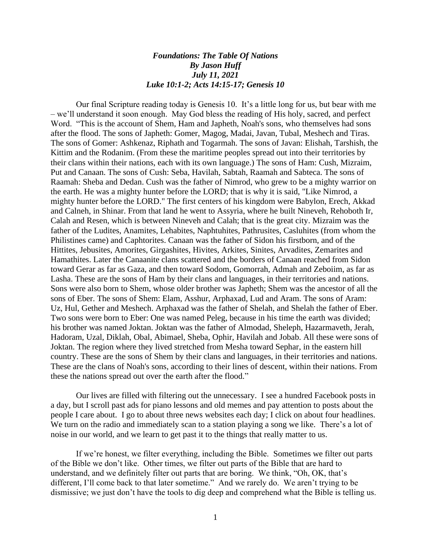## *Foundations: The Table Of Nations By Jason Huff July 11, 2021 Luke 10:1-2; Acts 14:15-17; Genesis 10*

Our final Scripture reading today is Genesis 10. It's a little long for us, but bear with me – we'll understand it soon enough. May God bless the reading of His holy, sacred, and perfect Word. "This is the account of Shem, Ham and Japheth, Noah's sons, who themselves had sons after the flood. The sons of Japheth: Gomer, Magog, Madai, Javan, Tubal, Meshech and Tiras. The sons of Gomer: Ashkenaz, Riphath and Togarmah. The sons of Javan: Elishah, Tarshish, the Kittim and the Rodanim. (From these the maritime peoples spread out into their territories by their clans within their nations, each with its own language.) The sons of Ham: Cush, Mizraim, Put and Canaan. The sons of Cush: Seba, Havilah, Sabtah, Raamah and Sabteca. The sons of Raamah: Sheba and Dedan. Cush was the father of Nimrod, who grew to be a mighty warrior on the earth. He was a mighty hunter before the LORD; that is why it is said, "Like Nimrod, a mighty hunter before the LORD." The first centers of his kingdom were Babylon, Erech, Akkad and Calneh, in Shinar. From that land he went to Assyria, where he built Nineveh, Rehoboth Ir, Calah and Resen, which is between Nineveh and Calah; that is the great city. Mizraim was the father of the Ludites, Anamites, Lehabites, Naphtuhites, Pathrusites, Casluhites (from whom the Philistines came) and Caphtorites. Canaan was the father of Sidon his firstborn, and of the Hittites, Jebusites, Amorites, Girgashites, Hivites, Arkites, Sinites, Arvadites, Zemarites and Hamathites. Later the Canaanite clans scattered and the borders of Canaan reached from Sidon toward Gerar as far as Gaza, and then toward Sodom, Gomorrah, Admah and Zeboiim, as far as Lasha. These are the sons of Ham by their clans and languages, in their territories and nations. Sons were also born to Shem, whose older brother was Japheth; Shem was the ancestor of all the sons of Eber. The sons of Shem: Elam, Asshur, Arphaxad, Lud and Aram. The sons of Aram: Uz, Hul, Gether and Meshech. Arphaxad was the father of Shelah, and Shelah the father of Eber. Two sons were born to Eber: One was named Peleg, because in his time the earth was divided; his brother was named Joktan. Joktan was the father of Almodad, Sheleph, Hazarmaveth, Jerah, Hadoram, Uzal, Diklah, Obal, Abimael, Sheba, Ophir, Havilah and Jobab. All these were sons of Joktan. The region where they lived stretched from Mesha toward Sephar, in the eastern hill country. These are the sons of Shem by their clans and languages, in their territories and nations. These are the clans of Noah's sons, according to their lines of descent, within their nations. From these the nations spread out over the earth after the flood."

Our lives are filled with filtering out the unnecessary. I see a hundred Facebook posts in a day, but I scroll past ads for piano lessons and old memes and pay attention to posts about the people I care about. I go to about three news websites each day; I click on about four headlines. We turn on the radio and immediately scan to a station playing a song we like. There's a lot of noise in our world, and we learn to get past it to the things that really matter to us.

If we're honest, we filter everything, including the Bible. Sometimes we filter out parts of the Bible we don't like. Other times, we filter out parts of the Bible that are hard to understand, and we definitely filter out parts that are boring. We think, "Oh, OK, that's different, I'll come back to that later sometime." And we rarely do. We aren't trying to be dismissive; we just don't have the tools to dig deep and comprehend what the Bible is telling us.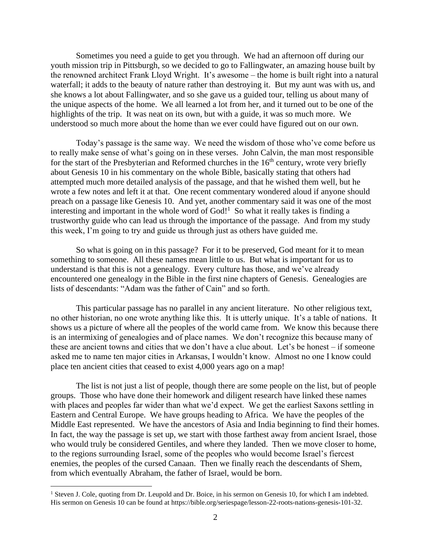Sometimes you need a guide to get you through. We had an afternoon off during our youth mission trip in Pittsburgh, so we decided to go to Fallingwater, an amazing house built by the renowned architect Frank Lloyd Wright. It's awesome – the home is built right into a natural waterfall; it adds to the beauty of nature rather than destroying it. But my aunt was with us, and she knows a lot about Fallingwater, and so she gave us a guided tour, telling us about many of the unique aspects of the home. We all learned a lot from her, and it turned out to be one of the highlights of the trip. It was neat on its own, but with a guide, it was so much more. We understood so much more about the home than we ever could have figured out on our own.

Today's passage is the same way. We need the wisdom of those who've come before us to really make sense of what's going on in these verses. John Calvin, the man most responsible for the start of the Presbyterian and Reformed churches in the  $16<sup>th</sup>$  century, wrote very briefly about Genesis 10 in his commentary on the whole Bible, basically stating that others had attempted much more detailed analysis of the passage, and that he wished them well, but he wrote a few notes and left it at that. One recent commentary wondered aloud if anyone should preach on a passage like Genesis 10. And yet, another commentary said it was one of the most interesting and important in the whole word of  $God!<sup>1</sup>$  So what it really takes is finding a trustworthy guide who can lead us through the importance of the passage. And from my study this week, I'm going to try and guide us through just as others have guided me.

So what is going on in this passage? For it to be preserved, God meant for it to mean something to someone. All these names mean little to us. But what is important for us to understand is that this is not a genealogy. Every culture has those, and we've already encountered one genealogy in the Bible in the first nine chapters of Genesis. Genealogies are lists of descendants: "Adam was the father of Cain" and so forth.

This particular passage has no parallel in any ancient literature. No other religious text, no other historian, no one wrote anything like this. It is utterly unique. It's a table of nations. It shows us a picture of where all the peoples of the world came from. We know this because there is an intermixing of genealogies and of place names. We don't recognize this because many of these are ancient towns and cities that we don't have a clue about. Let's be honest – if someone asked me to name ten major cities in Arkansas, I wouldn't know. Almost no one I know could place ten ancient cities that ceased to exist 4,000 years ago on a map!

The list is not just a list of people, though there are some people on the list, but of people groups. Those who have done their homework and diligent research have linked these names with places and peoples far wider than what we'd expect. We get the earliest Saxons settling in Eastern and Central Europe. We have groups heading to Africa. We have the peoples of the Middle East represented. We have the ancestors of Asia and India beginning to find their homes. In fact, the way the passage is set up, we start with those farthest away from ancient Israel, those who would truly be considered Gentiles, and where they landed. Then we move closer to home, to the regions surrounding Israel, some of the peoples who would become Israel's fiercest enemies, the peoples of the cursed Canaan. Then we finally reach the descendants of Shem, from which eventually Abraham, the father of Israel, would be born.

<sup>&</sup>lt;sup>1</sup> Steven J. Cole, quoting from Dr. Leupold and Dr. Boice, in his sermon on Genesis 10, for which I am indebted. His sermon on Genesis 10 can be found at https://bible.org/seriespage/lesson-22-roots-nations-genesis-101-32.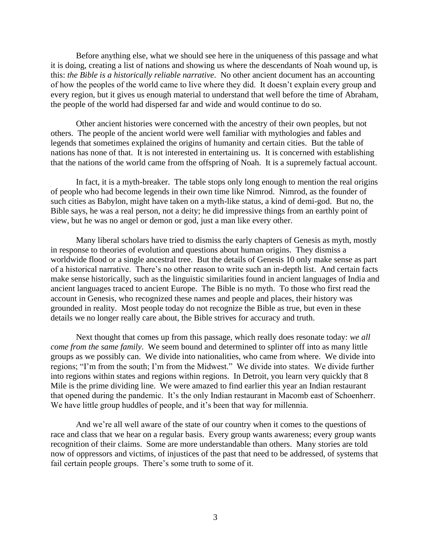Before anything else, what we should see here in the uniqueness of this passage and what it is doing, creating a list of nations and showing us where the descendants of Noah wound up, is this: *the Bible is a historically reliable narrative*. No other ancient document has an accounting of how the peoples of the world came to live where they did. It doesn't explain every group and every region, but it gives us enough material to understand that well before the time of Abraham, the people of the world had dispersed far and wide and would continue to do so.

Other ancient histories were concerned with the ancestry of their own peoples, but not others. The people of the ancient world were well familiar with mythologies and fables and legends that sometimes explained the origins of humanity and certain cities. But the table of nations has none of that. It is not interested in entertaining us. It is concerned with establishing that the nations of the world came from the offspring of Noah. It is a supremely factual account.

In fact, it is a myth-breaker. The table stops only long enough to mention the real origins of people who had become legends in their own time like Nimrod. Nimrod, as the founder of such cities as Babylon, might have taken on a myth-like status, a kind of demi-god. But no, the Bible says, he was a real person, not a deity; he did impressive things from an earthly point of view, but he was no angel or demon or god, just a man like every other.

Many liberal scholars have tried to dismiss the early chapters of Genesis as myth, mostly in response to theories of evolution and questions about human origins. They dismiss a worldwide flood or a single ancestral tree. But the details of Genesis 10 only make sense as part of a historical narrative. There's no other reason to write such an in-depth list. And certain facts make sense historically, such as the linguistic similarities found in ancient languages of India and ancient languages traced to ancient Europe. The Bible is no myth. To those who first read the account in Genesis, who recognized these names and people and places, their history was grounded in reality. Most people today do not recognize the Bible as true, but even in these details we no longer really care about, the Bible strives for accuracy and truth.

Next thought that comes up from this passage, which really does resonate today: *we all come from the same family*. We seem bound and determined to splinter off into as many little groups as we possibly can. We divide into nationalities, who came from where. We divide into regions; "I'm from the south; I'm from the Midwest." We divide into states. We divide further into regions within states and regions within regions. In Detroit, you learn very quickly that 8 Mile is the prime dividing line. We were amazed to find earlier this year an Indian restaurant that opened during the pandemic. It's the only Indian restaurant in Macomb east of Schoenherr. We have little group huddles of people, and it's been that way for millennia.

And we're all well aware of the state of our country when it comes to the questions of race and class that we hear on a regular basis. Every group wants awareness; every group wants recognition of their claims. Some are more understandable than others. Many stories are told now of oppressors and victims, of injustices of the past that need to be addressed, of systems that fail certain people groups. There's some truth to some of it.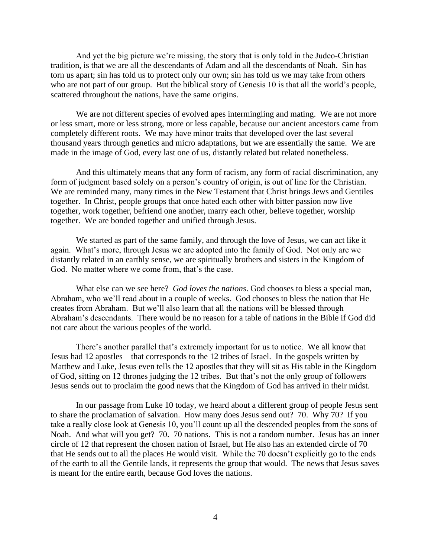And yet the big picture we're missing, the story that is only told in the Judeo-Christian tradition, is that we are all the descendants of Adam and all the descendants of Noah. Sin has torn us apart; sin has told us to protect only our own; sin has told us we may take from others who are not part of our group. But the biblical story of Genesis 10 is that all the world's people, scattered throughout the nations, have the same origins.

We are not different species of evolved apes intermingling and mating. We are not more or less smart, more or less strong, more or less capable, because our ancient ancestors came from completely different roots. We may have minor traits that developed over the last several thousand years through genetics and micro adaptations, but we are essentially the same. We are made in the image of God, every last one of us, distantly related but related nonetheless.

And this ultimately means that any form of racism, any form of racial discrimination, any form of judgment based solely on a person's country of origin, is out of line for the Christian. We are reminded many, many times in the New Testament that Christ brings Jews and Gentiles together. In Christ, people groups that once hated each other with bitter passion now live together, work together, befriend one another, marry each other, believe together, worship together. We are bonded together and unified through Jesus.

We started as part of the same family, and through the love of Jesus, we can act like it again. What's more, through Jesus we are adopted into the family of God. Not only are we distantly related in an earthly sense, we are spiritually brothers and sisters in the Kingdom of God. No matter where we come from, that's the case.

What else can we see here? *God loves the nations*. God chooses to bless a special man, Abraham, who we'll read about in a couple of weeks. God chooses to bless the nation that He creates from Abraham. But we'll also learn that all the nations will be blessed through Abraham's descendants. There would be no reason for a table of nations in the Bible if God did not care about the various peoples of the world.

There's another parallel that's extremely important for us to notice. We all know that Jesus had 12 apostles – that corresponds to the 12 tribes of Israel. In the gospels written by Matthew and Luke, Jesus even tells the 12 apostles that they will sit as His table in the Kingdom of God, sitting on 12 thrones judging the 12 tribes. But that's not the only group of followers Jesus sends out to proclaim the good news that the Kingdom of God has arrived in their midst.

In our passage from Luke 10 today, we heard about a different group of people Jesus sent to share the proclamation of salvation. How many does Jesus send out? 70. Why 70? If you take a really close look at Genesis 10, you'll count up all the descended peoples from the sons of Noah. And what will you get? 70. 70 nations. This is not a random number. Jesus has an inner circle of 12 that represent the chosen nation of Israel, but He also has an extended circle of 70 that He sends out to all the places He would visit. While the 70 doesn't explicitly go to the ends of the earth to all the Gentile lands, it represents the group that would. The news that Jesus saves is meant for the entire earth, because God loves the nations.